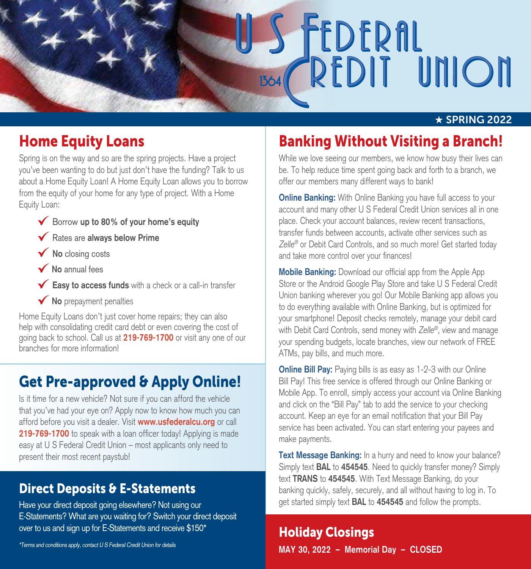# **FEDERAL**<br>REDIT UNION

### $\star$  SPRING 2022

# Home Equity Loans

Spring is on the way and so are the spring projects. Have a project you've been wanting to do but just don't have the funding? Talk to us about a Home Equity Loan! A Home Equity Loan allows you to borrow from the equity of your home for any type of project. With a Home Equity Loan:

- Borrow **up to 80% of your home's equity**
- Rates are **always below Prime**
- **No** closing costs
- **No** annual fees
- **Easy to access funds** with a check or a call-in transfer
- **V** No prepayment penalties

Home Equity Loans don't just cover home repairs; they can also help with consolidating credit card debt or even covering the cost of going back to school. Call us at **219-769-1700** or visit any one of our branches for more information!

# Get Pre-approved & Apply Online!

Is it time for a new vehicle? Not sure if you can afford the vehicle that you've had your eye on? Apply now to know how much you can afford before you visit a dealer. Visit **www.usfederalcu.org** or call **219-769-1700** to speak with a loan officer today! Applying is made easy at U S Federal Credit Union – most applicants only need to present their most recent paystub!

### Direct Deposits & E-Statements

Have your direct deposit going elsewhere? Not using our E-Statements? What are you waiting for? Switch your direct deposit over to us and sign up for E-Statements and receive \$150\*

\*Terms and conditions apply, contact U S Federal Credit Union for details

# Banking Without Visiting a Branch!

While we love seeing our members, we know how busy their lives can be. To help reduce time spent going back and forth to a branch, we offer our members many different ways to bank!

**Online Banking:** With Online Banking you have full access to your account and many other U S Federal Credit Union services all in one place. Check your account balances, review recent transactions, transfer funds between accounts, activate other services such as Zelle<sup>®</sup> or Debit Card Controls, and so much more! Get started today and take more control over your finances!

**Mobile Banking:** Download our official app from the Apple App Store or the Android Google Play Store and take U S Federal Credit Union banking wherever you go! Our Mobile Banking app allows you to do everything available with Online Banking, but is optimized for your smartphone! Deposit checks remotely, manage your debit card with Debit Card Controls, send money with Zelle®, view and manage your spending budgets, locate branches, view our network of FREE ATMs, pay bills, and much more.

**Online Bill Pay:** Paying bills is as easy as 1-2-3 with our Online Bill Pay! This free service is offered through our Online Banking or Mobile App. To enroll, simply access your account via Online Banking and click on the "Bill Pay" tab to add the service to your checking account. Keep an eye for an email notification that your Bill Pay service has been activated. You can start entering your payees and make payments.

**Text Message Banking:** In a hurry and need to know your balance? Simply text **BAL** to **454545**. Need to quickly transfer money? Simply text **TRANS** to **454545**. With Text Message Banking, do your banking quickly, safely, securely, and all without having to log in. To get started simply text **BAL** to **454545** and follow the prompts.

### Holiday Closings **MAY 30, 2022 – Memorial Day – CLOSED**